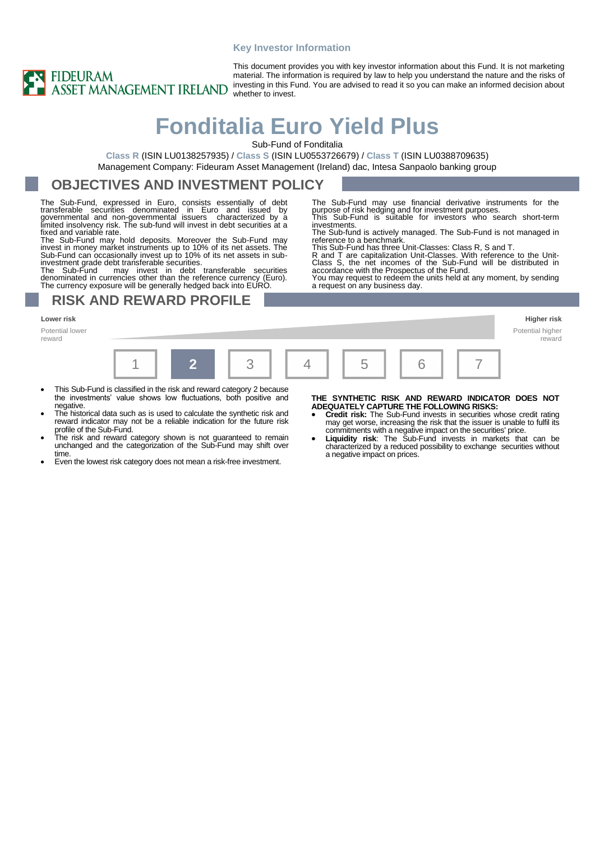#### **Key Investor Information**



This document provides you with key investor information about this Fund. It is not marketing material. The information is required by law to help you understand the nature and the risks of investing in this Fund. You are advised to read it so you can make an informed decision about whether to invest.

# **Fonditalia Euro Yield Plus**

Sub-Fund of Fonditalia

**Class R** (ISIN LU0138257935) / **Class S** (ISIN LU0553726679) / **Class T** (ISIN LU0388709635) Management Company: Fideuram Asset Management (Ireland) dac, Intesa Sanpaolo banking group

### **OBJECTIVES AND INVESTMENT POLICY**

The Sub-Fund, expressed in Euro, consists essentially of debt<br>transferable securities denominated in Euro and issued by<br>governmental and non-governmental issuers characterized by a<br>limited insolvency risk. The sub-fund wil

The Sub-Fund may hold deposits. Moreover the Sub-Fund may invest in money market instruments up to 10% of its net assets. The Sub-Fund can occasionally invest up to 10% of its net assets in subinvestment grade debt transferable securities.

The Sub-Fund may invest in debt transferable securities denominated in currencies other than the reference currency (Euro). The currency exposure will be generally hedged back into EURO.

### **RISK AND REWARD PROFILE**

#### **Lower risk Higher risk**

Potential lower reward



- This Sub-Fund is classified in the risk and reward category 2 because the investments' value shows low fluctuations, both positive and negative.
- The historical data such as is used to calculate the synthetic risk and reward indicator may not be a reliable indication for the future risk profile of the Sub-Fund.
- The risk and reward category shown is not guaranteed to remain unchanged and the categorization of the Sub-Fund may shift over time.
- Even the lowest risk category does not mean a risk-free investment.

#### **THE SYNTHETIC RISK AND REWARD INDICATOR DOES NOT ADEQUATELY CAPTURE THE FOLLOWING RISKS:**

- **Credit risk:** The Sub-Fund invests in securities whose credit rating may get worse, increasing the risk that the issuer is unable to fulfil its
- commitments with a negative impact on the securities' price. **Liquidity risk**: The Sub-Fund invests in markets that can be characterized by a reduced possibility to exchange securities without a negative impact on prices.

The Sub-Fund may use financial derivative instruments for the purpose of risk hedging and for investment purposes. This Sub-Fund is suitable for investors who search short-term investments.

The Sub-fund is actively managed. The Sub-Fund is not managed in reference to a benchmark.

This Sub-Fund has three Unit-Classes: Class R, S and T.

R and T are capitalization Unit-Classes. With reference to the Unit-<br>Class S, the net incomes of the Sub-Fund will be distributed in<br>accordance with the Prospectus of the Fund.<br>You may request to redeem the units held at a

a request on any business day.

Potential higher reward